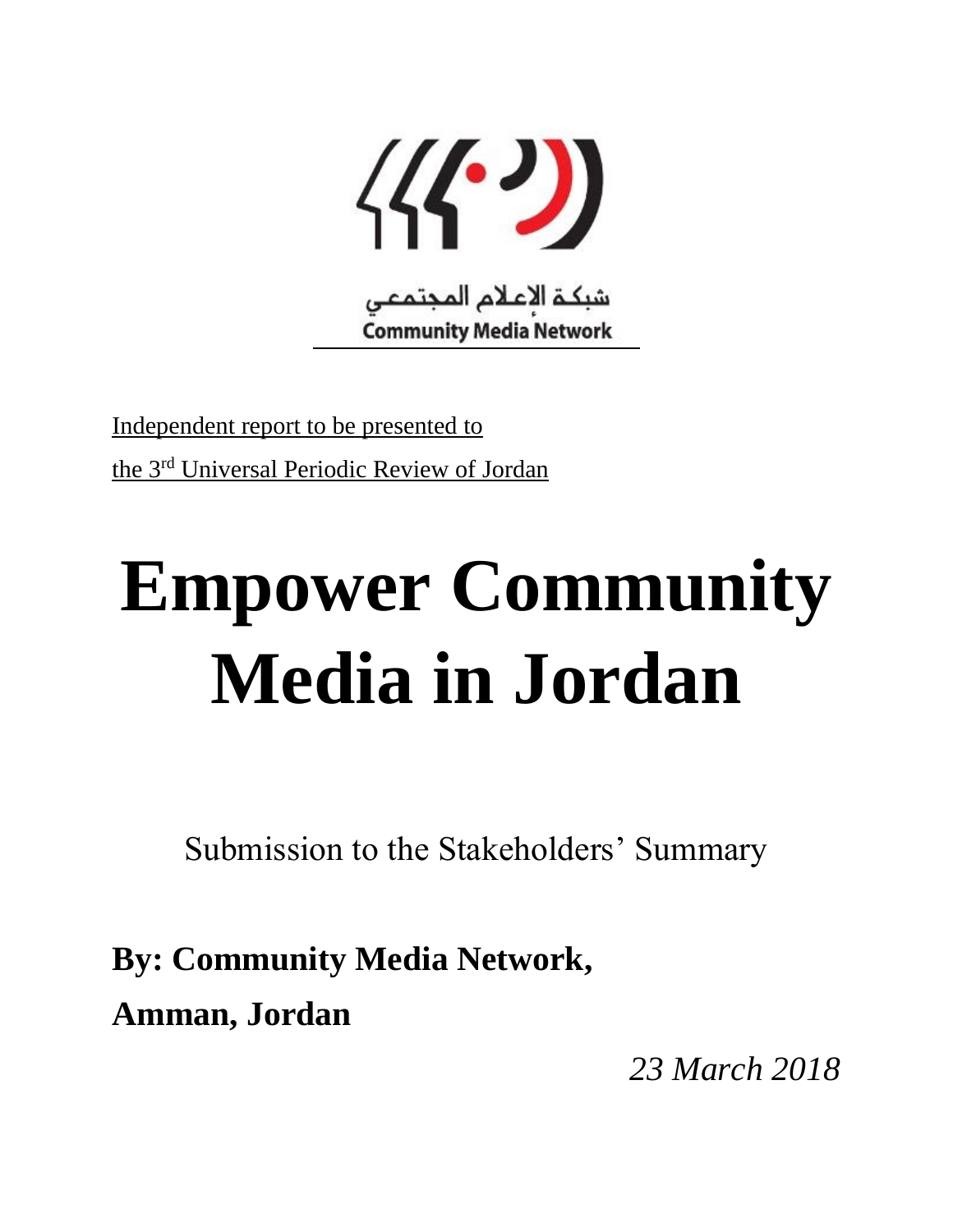

Independent report to be presented to the 3rd Universal Periodic Review of Jordan

# **Empower Community Media in Jordan**

Submission to the Stakeholders' Summary

**By: Community Media Network, Amman, Jordan**

*23 March 2018*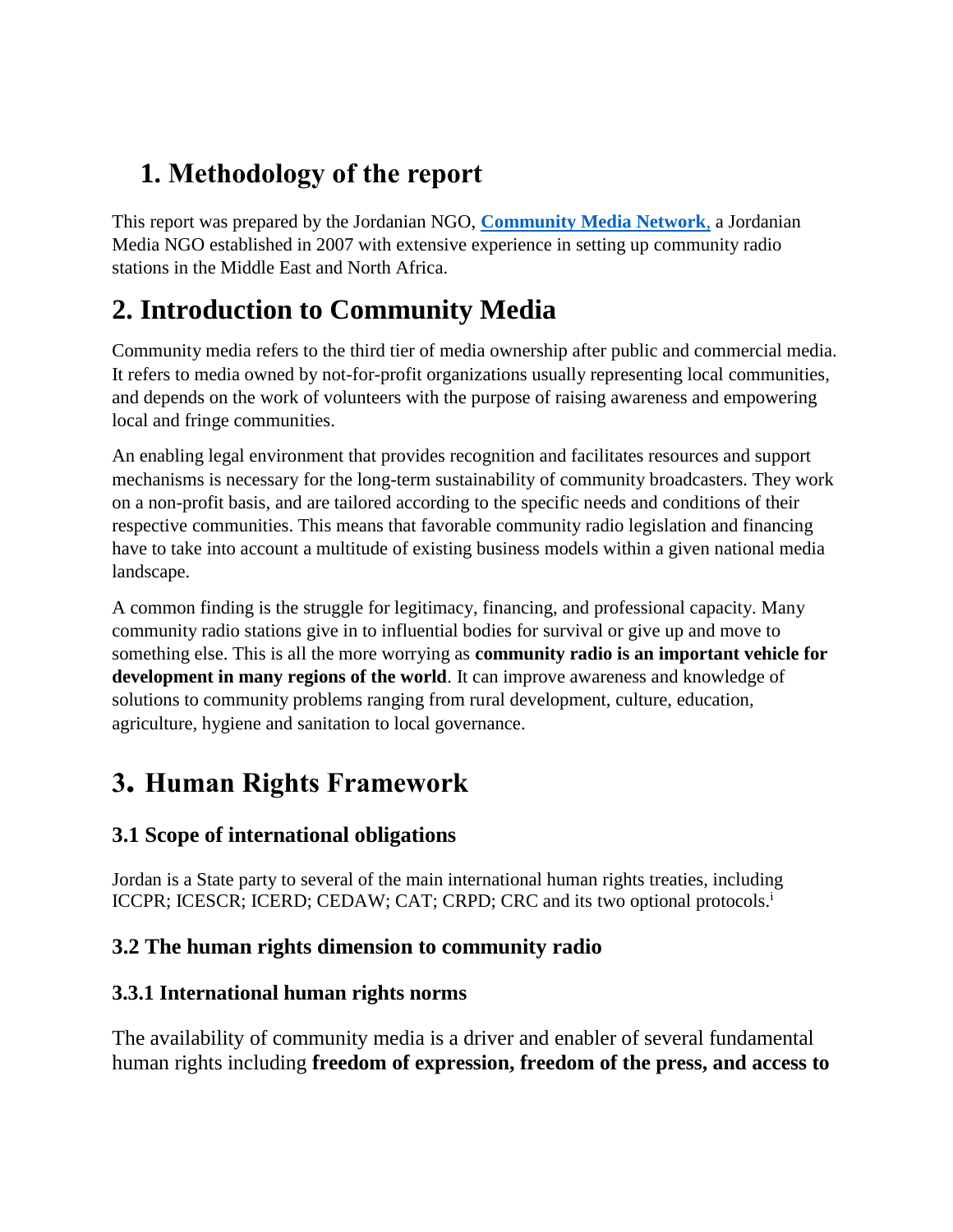# **1. Methodology of the report**

This report was prepared by the Jordanian NGO, **[Community Media Network](file:///C:/Users/Lenovo/Documents/communitymedianetwork.org)**, a Jordanian Media NGO established in 2007 with extensive experience in setting up community radio stations in the Middle East and North Africa.

# **2. Introduction to Community Media**

Community media refers to the third tier of media ownership after public and commercial media. It refers to media owned by not-for-profit organizations usually representing local communities, and depends on the work of volunteers with the purpose of raising awareness and empowering local and fringe communities.

An enabling legal environment that provides recognition and facilitates resources and support mechanisms is necessary for the long-term sustainability of community broadcasters. They work on a non-profit basis, and are tailored according to the specific needs and conditions of their respective communities. This means that favorable community radio legislation and financing have to take into account a multitude of existing business models within a given national media landscape.

A common finding is the struggle for legitimacy, financing, and professional capacity. Many community radio stations give in to influential bodies for survival or give up and move to something else. This is all the more worrying as **community radio is an important vehicle for development in many regions of the world**. It can improve awareness and knowledge of solutions to community problems ranging from rural development, culture, education, agriculture, hygiene and sanitation to local governance.

# **3. Human Rights Framework**

# **3.1 Scope of international obligations**

Jordan is a State party to several of the main international human rights treaties, including ICCPR; ICESCR; ICERD; CEDAW; CAT; CRPD; CRC and its two optional protocols.<sup>i</sup>

# **3.2 The human rights dimension to community radio**

# **3.3.1 International human rights norms**

The availability of community media is a driver and enabler of several fundamental human rights including **freedom of expression, freedom of the press, and access to**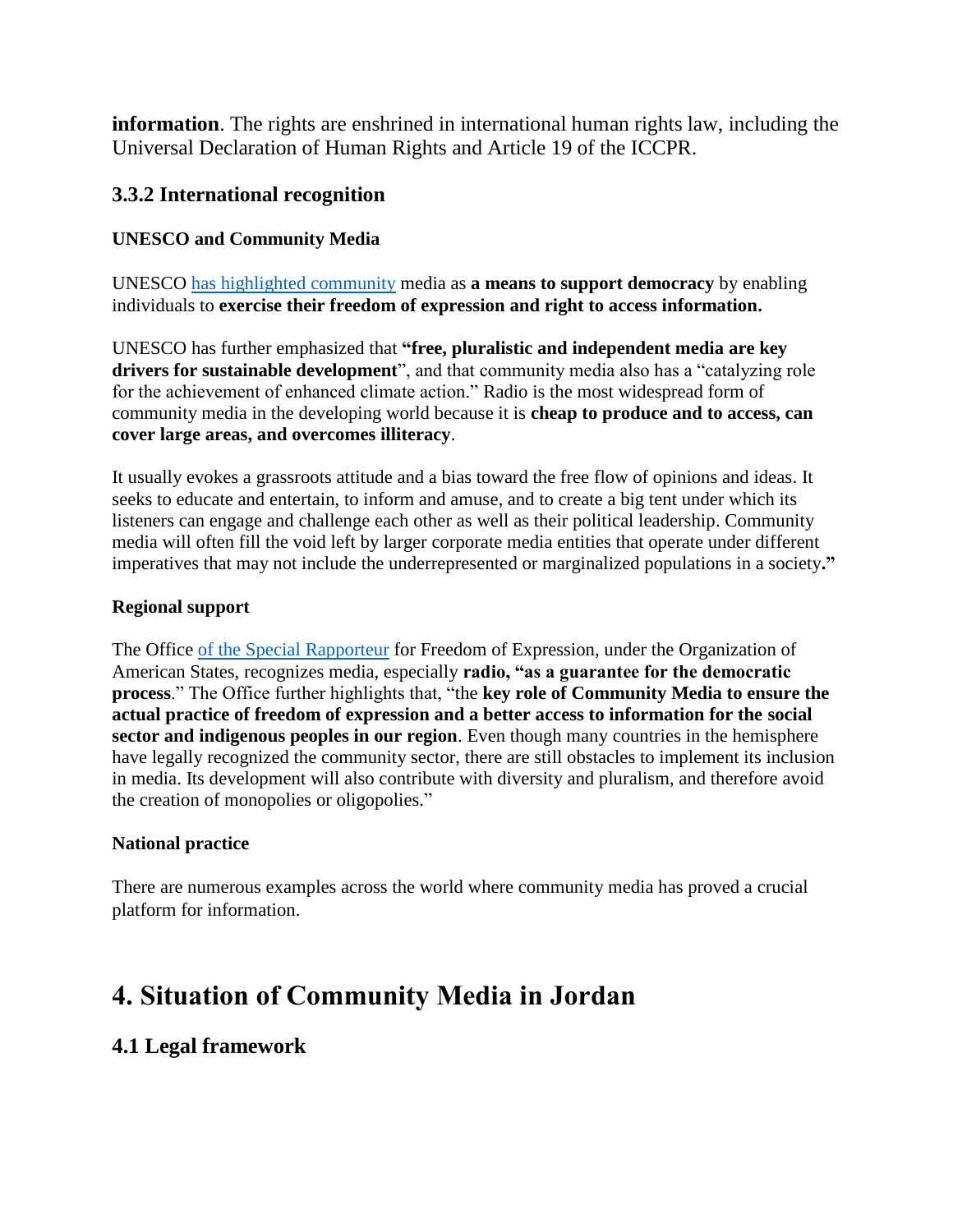**information**. The rights are enshrined in international human rights law, including the Universal Declaration of Human Rights and Article 19 of the ICCPR.

## **3.3.2 International recognition**

#### **UNESCO and Community Media**

UNESCO [has highlighted](https://en.unesco.org/news/strengthening-policies-and-funding-community-media-sustainability) community media as **a means to support democracy** by enabling individuals to **exercise their freedom of expression and right to access information.** 

UNESCO has further emphasized that **"free, pluralistic and independent media are key drivers for sustainable development**", and that community media also has a "catalyzing role for the achievement of enhanced climate action." Radio is the most widespread form of community media in the developing world because it is **cheap to produce and to access, can cover large areas, and overcomes illiteracy**.

It usually evokes a grassroots attitude and a bias toward the free flow of opinions and ideas. It seeks to educate and entertain, to inform and amuse, and to create a big tent under which its listeners can engage and challenge each other as well as their political leadership. Community media will often fill the void left by larger corporate media entities that operate under different imperatives that may not include the underrepresented or marginalized populations in a society**."**

#### **Regional support**

The Office [of the Special Rapporteur](http://www.oas.org/en/iachr/expression/showarticle.asp?artID=229&lID=1) for Freedom of Expression, under the Organization of American States, recognizes media, especially **radio, "as a guarantee for the democratic process**." The Office further highlights that, "the **key role of Community Media to ensure the actual practice of freedom of expression and a better access to information for the social sector and indigenous peoples in our region**. Even though many countries in the hemisphere have legally recognized the community sector, there are still obstacles to implement its inclusion in media. Its development will also contribute with diversity and pluralism, and therefore avoid the creation of monopolies or oligopolies."

#### **National practice**

There are numerous examples across the world where community media has proved a crucial platform for information.

# **4. Situation of Community Media in Jordan**

## **4.1 Legal framework**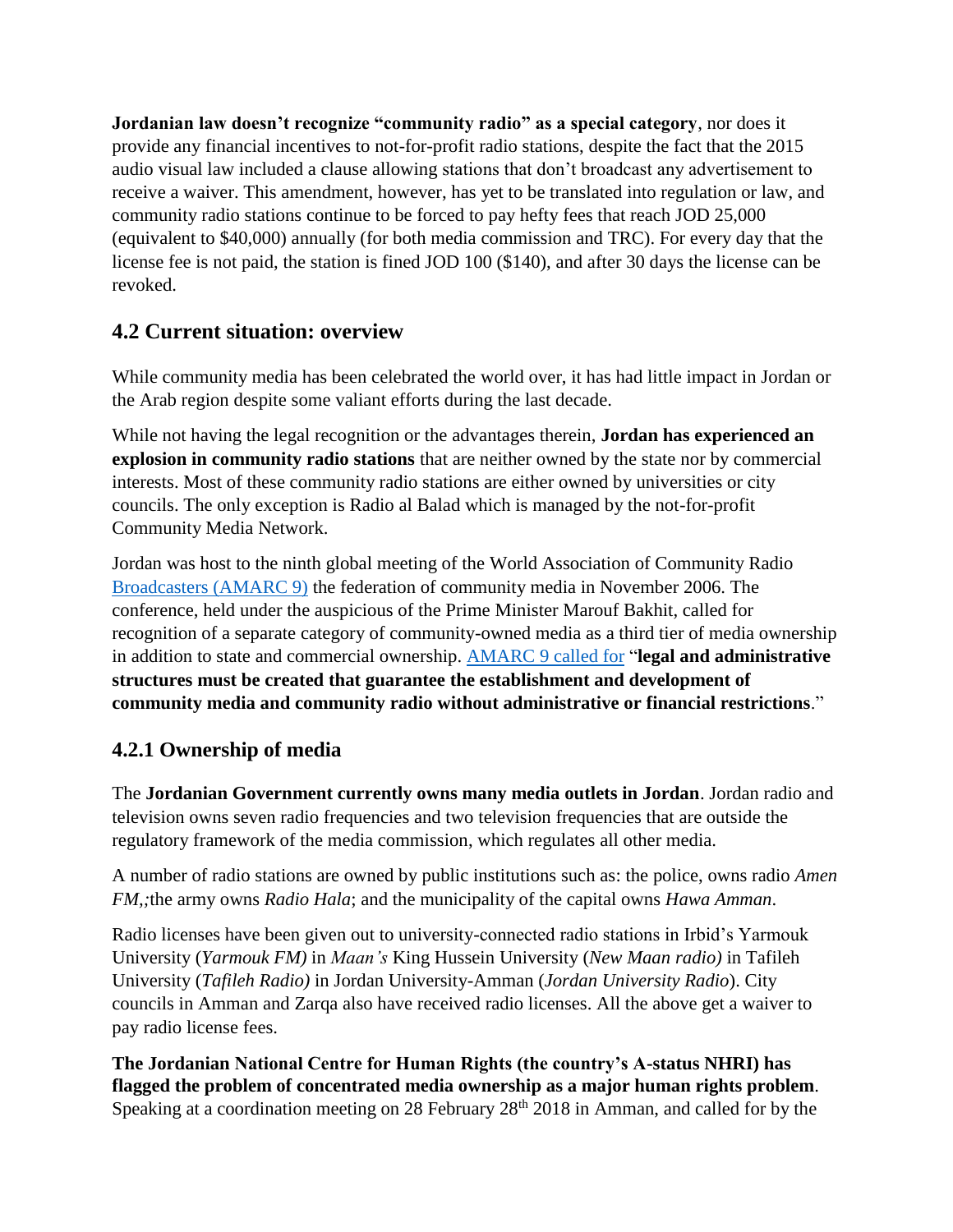**Jordanian law doesn't recognize "community radio" as a special category**, nor does it provide any financial incentives to not-for-profit radio stations, despite the fact that the 2015 audio visual law included a clause allowing stations that don't broadcast any advertisement to receive a waiver. This amendment, however, has yet to be translated into regulation or law, and community radio stations continue to be forced to pay hefty fees that reach JOD 25,000 (equivalent to \$40,000) annually (for both media commission and TRC). For every day that the license fee is not paid, the station is fined JOD 100 (\$140), and after 30 days the license can be revoked.

# **4.2 Current situation: overview**

While community media has been celebrated the world over, it has had little impact in Jordan or the Arab region despite some valiant efforts during the last decade.

While not having the legal recognition or the advantages therein, **Jordan has experienced an explosion in community radio stations** that are neither owned by the state nor by commercial interests. Most of these community radio stations are either owned by universities or city councils. The only exception is Radio al Balad which is managed by the not-for-profit Community Media Network.

Jordan was host to the ninth global meeting of the World Association of Community Radio [Broadcasters](http://www.isiswomen.org/index.php?option=com_content&view=article&id=350:9th-world-conference-of-community-broadcasters-held-in-jordan&catid=21&Itemid=449) (AMARC 9) the federation of community media in November 2006. The conference, held under the auspicious of the Prime Minister Marouf Bakhit, called for recognition of a separate category of community-owned media as a third tier of media ownership in addition to state and commercial ownership. [AMARC 9 called for](https://www.apc.org/en/blog/statement-amarc-9-conference) "**legal and administrative structures must be created that guarantee the establishment and development of community media and community radio without administrative or financial restrictions**."

## **4.2.1 Ownership of media**

The **Jordanian Government currently owns many media outlets in Jordan**. Jordan radio and television owns seven radio frequencies and two television frequencies that are outside the regulatory framework of the media commission, which regulates all other media.

A number of radio stations are owned by public institutions such as: the police, owns radio *Amen FM,;*the army owns *Radio Hala*; and the municipality of the capital owns *Hawa Amman*.

Radio licenses have been given out to university-connected radio stations in Irbid's Yarmouk University (*Yarmouk FM)* in *Maan's* King Hussein University (*New Maan radio)* in Tafileh University (*Tafileh Radio)* in Jordan University-Amman (*Jordan University Radio*). City councils in Amman and Zarqa also have received radio licenses. All the above get a waiver to pay radio license fees.

**The Jordanian National Centre for Human Rights (the country's A-status NHRI) has flagged the problem of concentrated media ownership as a major human rights problem**. Speaking at a coordination meeting on 28 February 28<sup>th</sup> 2018 in Amman, and called for by the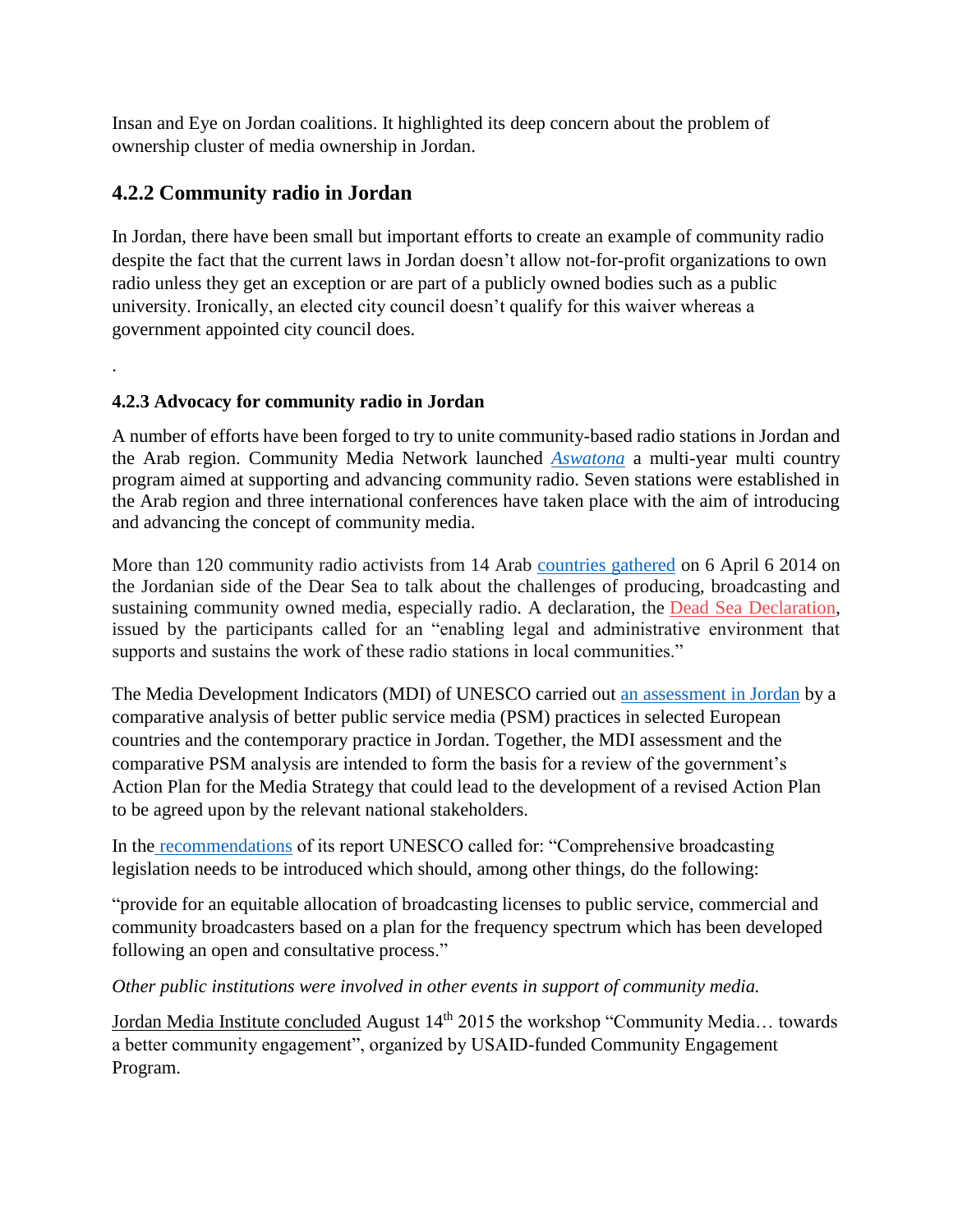Insan and Eye on Jordan coalitions. It highlighted its deep concern about the problem of ownership cluster of media ownership in Jordan.

## **4.2.2 Community radio in Jordan**

.

In Jordan, there have been small but important efforts to create an example of community radio despite the fact that the current laws in Jordan doesn't allow not-for-profit organizations to own radio unless they get an exception or are part of a publicly owned bodies such as a public university. Ironically, an elected city council doesn't qualify for this waiver whereas a government appointed city council does.

## **4.2.3 Advocacy for community radio in Jordan**

A number of efforts have been forged to try to unite community-based radio stations in Jordan and the Arab region. Community Media Network launched *[Aswatona](file:///C:/Users/Lenovo/Documents/aswatona.net)* a multi-year multi country program aimed at supporting and advancing community radio. Seven stations were established in the Arab region and three international conferences have taken place with the aim of introducing and advancing the concept of community media.

More than 120 community radio activists from 14 Arab [countries gathered](http://www.amarceurope.eu/jordan-dead-sea-declaration-gives-boost-to-community-media-in-mena-region/) on 6 April 6 2014 on the Jordanian side of the Dear Sea to talk about the challenges of producing, broadcasting and sustaining community owned media, especially radio. A declaration, the Dead Sea [Declaration,](http://aswatona.net/wp-content/files_mf/aswatona14declarationen.pdf) issued by the participants called for an "enabling legal and administrative environment that supports and sustains the work of these radio stations in local communities."

The Media Development Indicators (MDI) of UNESCO carried out [an assessment in Jordan](http://www.unesco.org/new/en/communication-and-information/resources/) by a comparative analysis of better public service media (PSM) practices in selected European countries and the contemporary practice in Jordan. Together, the MDI assessment and the comparative PSM analysis are intended to form the basis for a review of the government's Action Plan for the Media Strategy that could lead to the development of a revised Action Plan to be agreed upon by the relevant national stakeholders.

In the [recommendations](http://unesdoc.unesco.org/images/0023/002344/234425e.pdf) of its report UNESCO called for: "Comprehensive broadcasting legislation needs to be introduced which should, among other things, do the following:

"provide for an equitable allocation of broadcasting licenses to public service, commercial and community broadcasters based on a plan for the frequency spectrum which has been developed following an open and consultative process."

*Other public institutions were involved in other events in support of community media.*

Jordan Media Institute concluded August 14<sup>th</sup> 2015 the workshop "Community Media... towards a better community engagement", organized by USAID-funded Community Engagement Program.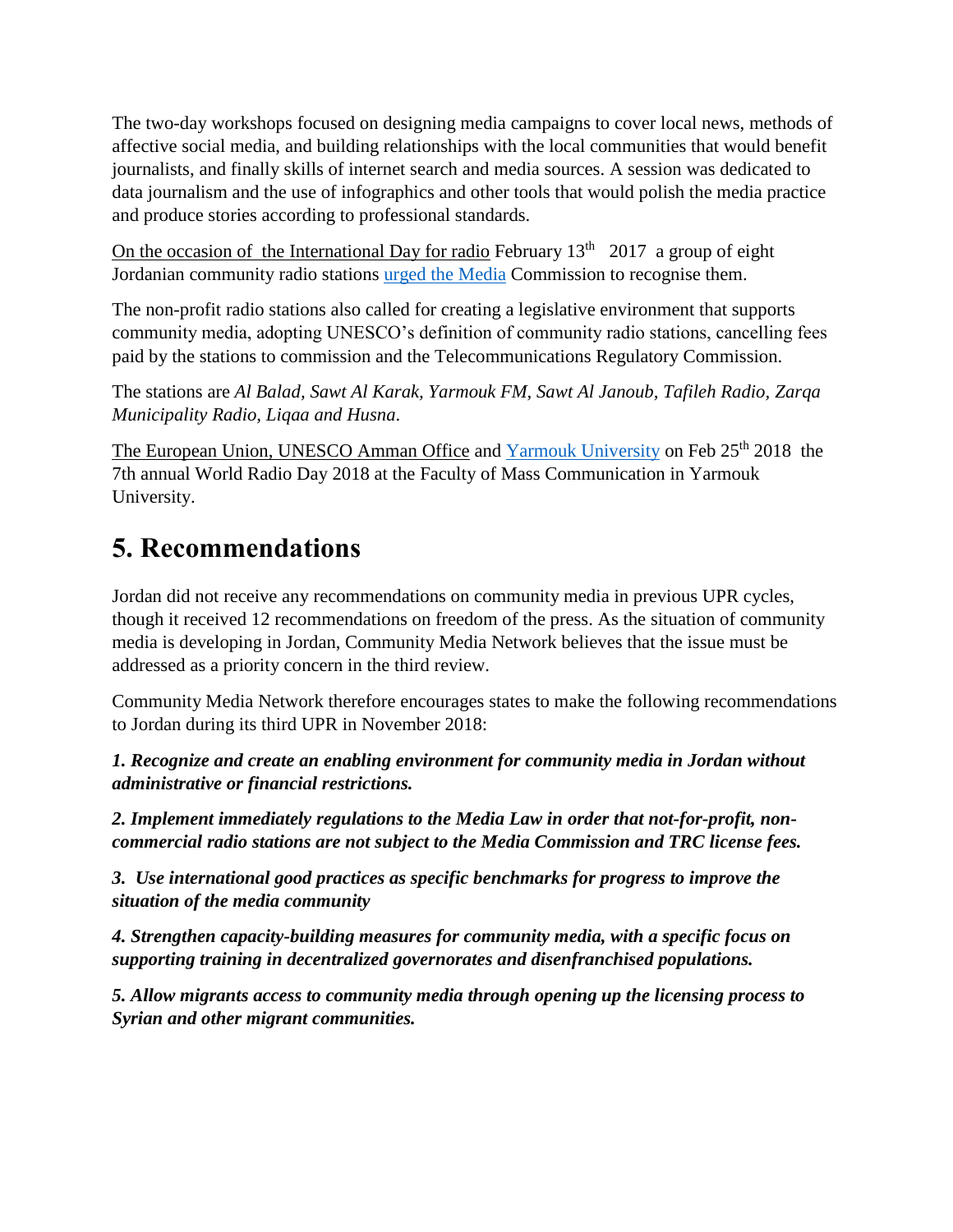The two-day workshops focused on designing media campaigns to cover local news, methods of affective social media, and building relationships with the local communities that would benefit journalists, and finally skills of internet search and media sources. A session was dedicated to data journalism and the use of infographics and other tools that would polish the media practice and produce stories according to professional standards.

On the occasion of the International Day for radio February  $13<sup>th</sup>$  2017 a group of eight Jordanian community radio stations [urged the Media](http://jordantimes.com/news/local/radio-stations-urge-authorities-recognise-community-media) Commission to recognise them.

The non-profit radio stations also called for creating a legislative environment that supports community media, adopting UNESCO's definition of community radio stations, cancelling fees paid by the stations to commission and the Telecommunications Regulatory Commission.

The stations are *Al Balad, Sawt Al Karak, Yarmouk FM, Sawt Al Janoub, Tafileh Radio, Zarqa Municipality Radio, Liqaa and Husna*.

The European Union, UNESCO Amman Office and [Yarmouk University](http://www.jordantimes.com/news/local/yarmouk-university-celebrates-world-radio-day-eu-unesco) on Feb 25<sup>th</sup> 2018 the 7th annual World Radio Day 2018 at the Faculty of Mass Communication in Yarmouk University.

# **5. Recommendations**

Jordan did not receive any recommendations on community media in previous UPR cycles, though it received 12 recommendations on freedom of the press. As the situation of community media is developing in Jordan, Community Media Network believes that the issue must be addressed as a priority concern in the third review.

Community Media Network therefore encourages states to make the following recommendations to Jordan during its third UPR in November 2018:

*1. Recognize and create an enabling environment for community media in Jordan without administrative or financial restrictions.*

*2. Implement immediately regulations to the Media Law in order that not-for-profit, noncommercial radio stations are not subject to the Media Commission and TRC license fees.*

*3. Use international good practices as specific benchmarks for progress to improve the situation of the media community* 

*4. Strengthen capacity-building measures for community media, with a specific focus on supporting training in decentralized governorates and disenfranchised populations.*

*5. Allow migrants access to community media through opening up the licensing process to Syrian and other migrant communities.*